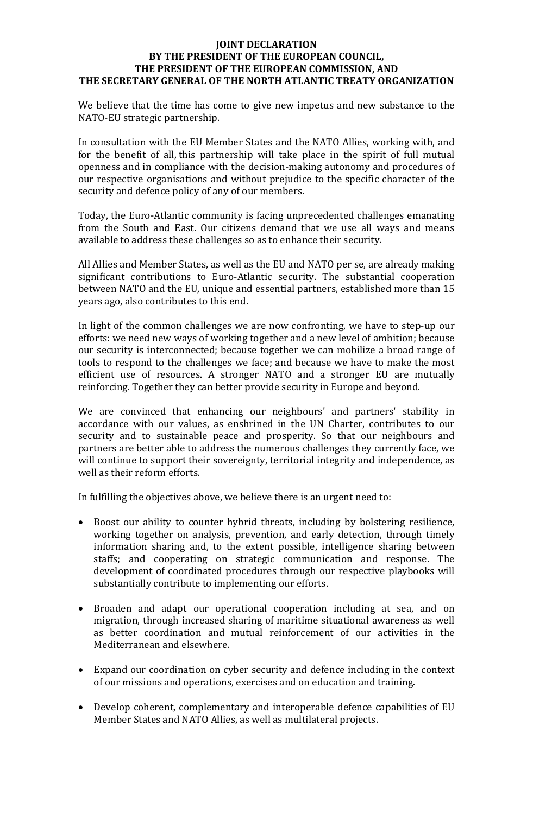## **JOINT DECLARATION BY THE PRESIDENT OF THE EUROPEAN COUNCIL, THE PRESIDENT OF THE EUROPEAN COMMISSION, AND THE SECRETARY GENERAL OF THE NORTH ATLANTIC TREATY ORGANIZATION**

We believe that the time has come to give new impetus and new substance to the NATO-EU strategic partnership.

In consultation with the EU Member States and the NATO Allies, working with, and for the benefit of all, this partnership will take place in the spirit of full mutual openness and in compliance with the decision-making autonomy and procedures of our respective organisations and without prejudice to the specific character of the security and defence policy of any of our members.

Today, the Euro-Atlantic community is facing unprecedented challenges emanating from the South and East. Our citizens demand that we use all ways and means available to address these challenges so as to enhance their security.

All Allies and Member States, as well as the EU and NATO per se, are already making significant contributions to Euro-Atlantic security. The substantial cooperation between NATO and the EU, unique and essential partners, established more than 15 years ago, also contributes to this end.

In light of the common challenges we are now confronting, we have to step-up our efforts: we need new ways of working together and a new level of ambition; because our security is interconnected; because together we can mobilize a broad range of tools to respond to the challenges we face; and because we have to make the most efficient use of resources. A stronger NATO and a stronger EU are mutually reinforcing. Together they can better provide security in Europe and beyond.

We are convinced that enhancing our neighbours' and partners' stability in accordance with our values, as enshrined in the UN Charter, contributes to our security and to sustainable peace and prosperity. So that our neighbours and partners are better able to address the numerous challenges they currently face, we will continue to support their sovereignty, territorial integrity and independence, as well as their reform efforts.

In fulfilling the objectives above, we believe there is an urgent need to:

- Boost our ability to counter hybrid threats, including by bolstering resilience, working together on analysis, prevention, and early detection, through timely information sharing and, to the extent possible, intelligence sharing between staffs; and cooperating on strategic communication and response. The development of coordinated procedures through our respective playbooks will substantially contribute to implementing our efforts.
- Broaden and adapt our operational cooperation including at sea, and on migration, through increased sharing of maritime situational awareness as well as better coordination and mutual reinforcement of our activities in the Mediterranean and elsewhere.
- Expand our coordination on cyber security and defence including in the context of our missions and operations, exercises and on education and training.
- Develop coherent, complementary and interoperable defence capabilities of EU Member States and NATO Allies, as well as multilateral projects.